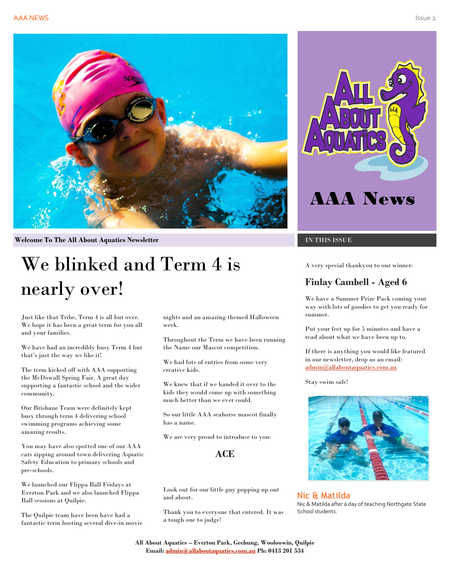

**Welcome To The All About Aquatics Newsletter IN THIS ISSUE** 

# We blinked and Term 4 is nearly over!

Just like that Tribe, Term 4 is all but over. We hope it has been a great term for you all and your families.

We have had an incredibly busy Term 4 but that's just the way we like it!

The term kicked off with AAA supporting the McDowall Spring Fair. A great day supporting a fantastic school and the wider community.

Our Brisbane Team were definitely kept busy through term 4 delivering school swimming programs achieving some amazing results.

You may have also spotted one of our AAA cars zipping around town delivering Aquatic Safety Education to primary schools and pre-schools.

We launched our Flippa Ball Fridays at Everton Park and we also launched Flippa Ball sessions at Quilpie.

The Quilpie team have been have had a fantastic term hosting several dive-in movie nights and an amazing themed Halloween week.

Throughout the Term we have been running the Name our Mascot competition.

We had lots of entries from some very creative kids.

We knew that if we handed it over to the kids they would come up with something much better than we ever could.

So our little AAA seahorse mascot finally has a name.

We are very proud to introduce to you:

#### **ACE**

Look out for our little guy popping up out and about.

Thank you to everyone that entered. It was a tough one to judge!



A very special thankyou to our winner:

#### **Finlay Cambell - Aged 6**

We have a Summer Prize Pack coming your way with lots of goodies to get you ready for summer.

Put your feet up for 5 minutes and have a read about what we have been up to.

If there is anything you would like featured in our newsletter, drop us an email: [admin@allaboutaquatics.com.au](mailto:admin@allaboutaquatics.com.au)

Stay swim safe!



Nic & Matilda Nic & Matilda after a day of teaching Northgate State School students.

**All About Aquatics – Everton Park, Geebung, Wooloowin, Quilpie Email[: admin@allaboutaquatics.com.au](mailto:admin@allaboutaquatics.com.au) Ph: 0413 201 534**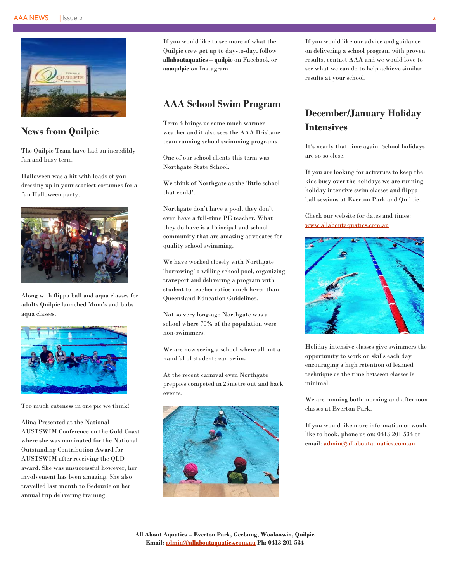

#### **News from Quilpie**

The Quilpie Team have had an incredibly fun and busy term.

Halloween was a hit with loads of you dressing up in your scariest costumes for a fun Halloween party.



Along with flippa ball and aqua classes for adults Quilpie launched Mum's and bubs aqua classes.



Too much cuteness in one pic we think!

Alina Presented at the National AUSTSWIM Conference on the Gold Coast where she was nominated for the National Outstanding Contribution Award for AUSTSWIM after receiving the QLD award. She was unsuccessful however, her involvement has been amazing. She also travelled last month to Bedourie on her annual trip delivering training.

If you would like to see more of what the Quilpie crew get up to day-to-day, follow **allaboutaquatics – quilpie** on Facebook or **aaaqulpie** on Instagram.

#### **AAA School Swim Program**

Term 4 brings us some much warmer weather and it also sees the AAA Brisbane team running school swimming programs.

One of our school clients this term was Northgate State School.

We think of Northgate as the 'little school that could'.

Northgate don't have a pool, they don't even have a full-time PE teacher. What they do have is a Principal and school community that are amazing advocates for quality school swimming.

We have worked closely with Northgate 'borrowing' a willing school pool, organizing transport and delivering a program with student to teacher ratios much lower than Queensland Education Guidelines.

Not so very long-ago Northgate was a school where 70% of the population were non-swimmers.

We are now seeing a school where all but a handful of students can swim.

At the recent carnival even Northgate preppies competed in 25metre out and back events.



If you would like our advice and guidance on delivering a school program with proven results, contact AAA and we would love to see what we can do to help achieve similar results at your school.

# **December/January Holiday Intensives**

It's nearly that time again. School holidays are so so close.

If you are looking for activities to keep the kids busy over the holidays we are running holiday intensive swim classes and flippa ball sessions at Everton Park and Quilpie.

Check our website for dates and times: [www.allaboutaquatics.com.au](http://www.allaboutaquatics.com.au/)



Holiday intensive classes give swimmers the opportunity to work on skills each day encouraging a high retention of learned technique as the time between classes is minimal.

We are running both morning and afternoon classes at Everton Park.

If you would like more information or would like to book, phone us on: 0413 201 534 or email[: admin@allaboutaquatics.com.au](mailto:admin@allaboutaquatics.com.au)